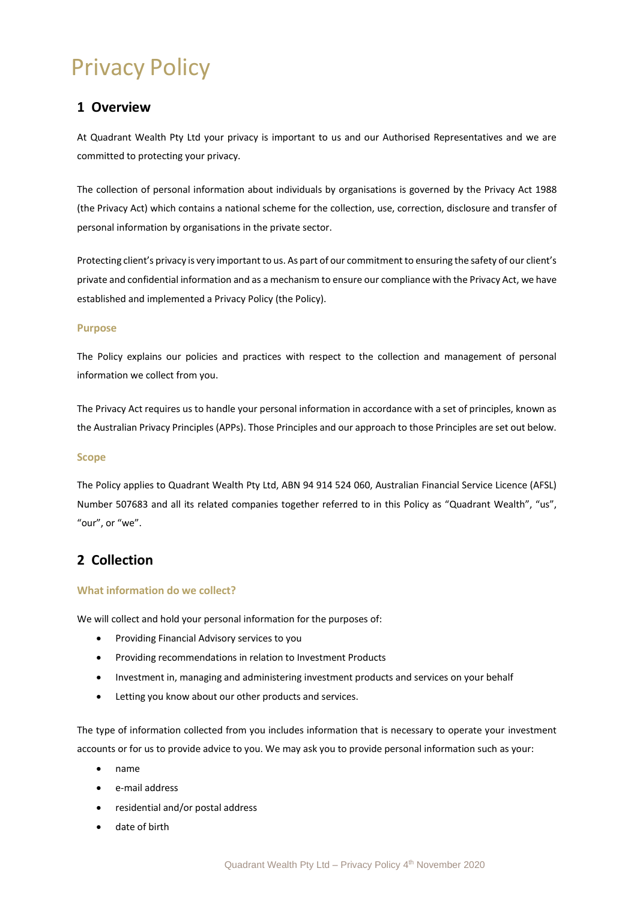# Privacy Policy

# **1 Overview**

At Quadrant Wealth Pty Ltd your privacy is important to us and our Authorised Representatives and we are committed to protecting your privacy.

The collection of personal information about individuals by organisations is governed by the Privacy Act 1988 (the Privacy Act) which contains a national scheme for the collection, use, correction, disclosure and transfer of personal information by organisations in the private sector.

Protecting client's privacy is very important to us. As part of our commitment to ensuring the safety of our client's private and confidential information and as a mechanism to ensure our compliance with the Privacy Act, we have established and implemented a Privacy Policy (the Policy).

#### **Purpose**

The Policy explains our policies and practices with respect to the collection and management of personal information we collect from you.

The Privacy Act requires us to handle your personal information in accordance with a set of principles, known as the Australian Privacy Principles (APPs). Those Principles and our approach to those Principles are set out below.

### **Scope**

The Policy applies to Quadrant Wealth Pty Ltd, ABN 94 914 524 060, Australian Financial Service Licence (AFSL) Number 507683 and all its related companies together referred to in this Policy as "Quadrant Wealth", "us", "our", or "we".

# **2 Collection**

### **What information do we collect?**

We will collect and hold your personal information for the purposes of:

- Providing Financial Advisory services to you
- Providing recommendations in relation to Investment Products
- Investment in, managing and administering investment products and services on your behalf
- Letting you know about our other products and services.

The type of information collected from you includes information that is necessary to operate your investment accounts or for us to provide advice to you. We may ask you to provide personal information such as your:

- name
- e-mail address
- residential and/or postal address
- date of birth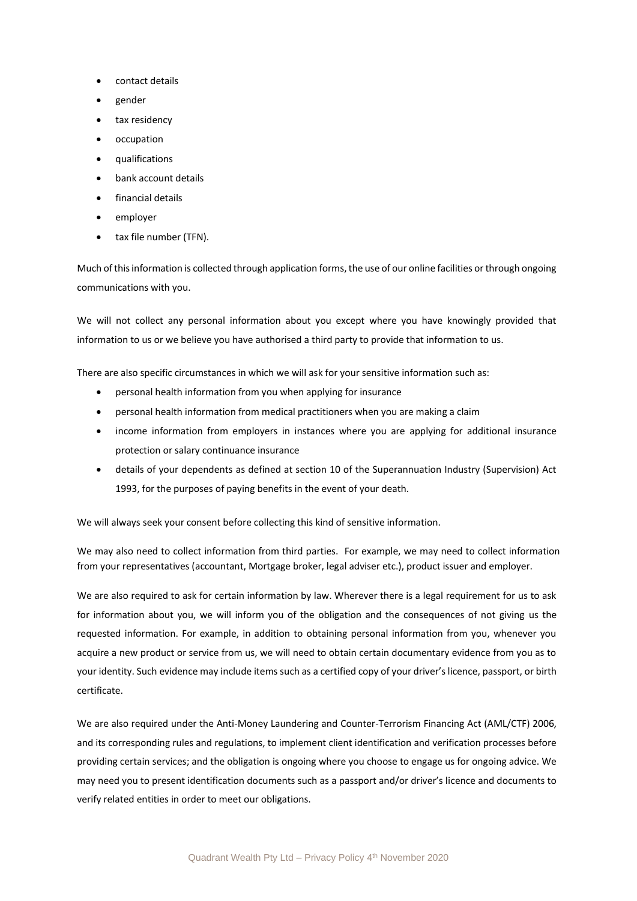- contact details
- gender
- tax residency
- occupation
- qualifications
- bank account details
- financial details
- employer
- tax file number (TFN).

Much of this information is collected through application forms, the use of our online facilities or through ongoing communications with you.

We will not collect any personal information about you except where you have knowingly provided that information to us or we believe you have authorised a third party to provide that information to us.

There are also specific circumstances in which we will ask for your sensitive information such as:

- personal health information from you when applying for insurance
- personal health information from medical practitioners when you are making a claim
- income information from employers in instances where you are applying for additional insurance protection or salary continuance insurance
- details of your dependents as defined at section 10 of the Superannuation Industry (Supervision) Act 1993, for the purposes of paying benefits in the event of your death.

We will always seek your consent before collecting this kind of sensitive information.

We may also need to collect information from third parties. For example, we may need to collect information from your representatives (accountant, Mortgage broker, legal adviser etc.), product issuer and employer.

We are also required to ask for certain information by law. Wherever there is a legal requirement for us to ask for information about you, we will inform you of the obligation and the consequences of not giving us the requested information. For example, in addition to obtaining personal information from you, whenever you acquire a new product or service from us, we will need to obtain certain documentary evidence from you as to your identity. Such evidence may include items such as a certified copy of your driver's licence, passport, or birth certificate.

We are also required under the Anti-Money Laundering and Counter-Terrorism Financing Act (AML/CTF) 2006, and its corresponding rules and regulations, to implement client identification and verification processes before providing certain services; and the obligation is ongoing where you choose to engage us for ongoing advice. We may need you to present identification documents such as a passport and/or driver's licence and documents to verify related entities in order to meet our obligations.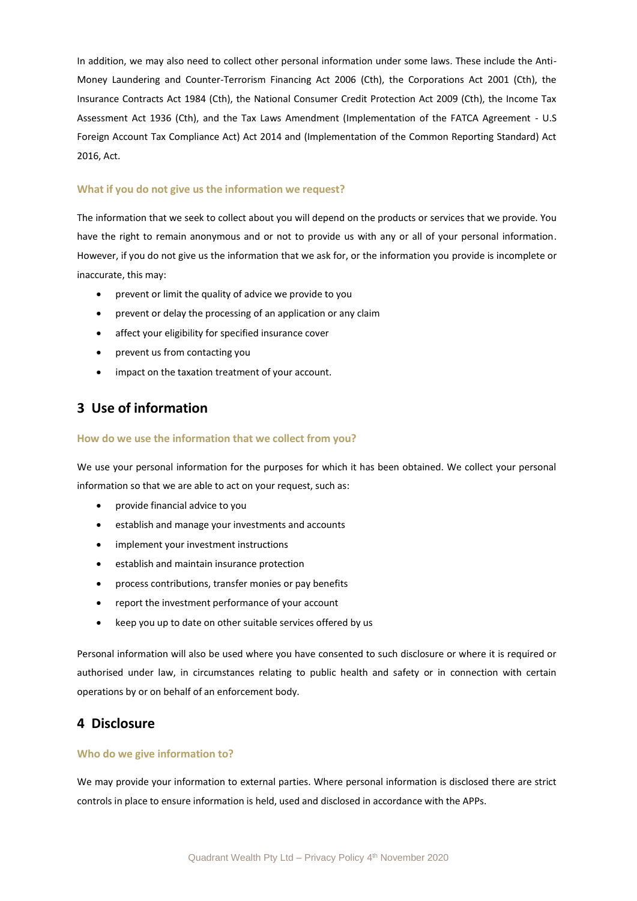In addition, we may also need to collect other personal information under some laws. These include the Anti-Money Laundering and Counter-Terrorism Financing Act 2006 (Cth), the Corporations Act 2001 (Cth), the Insurance Contracts Act 1984 (Cth), the National Consumer Credit Protection Act 2009 (Cth), the Income Tax Assessment Act 1936 (Cth), and the Tax Laws Amendment (Implementation of the FATCA Agreement - U.S Foreign Account Tax Compliance Act) Act 2014 and (Implementation of the Common Reporting Standard) Act 2016, Act.

#### **What if you do not give us the information we request?**

The information that we seek to collect about you will depend on the products or services that we provide. You have the right to remain anonymous and or not to provide us with any or all of your personal information. However, if you do not give us the information that we ask for, or the information you provide is incomplete or inaccurate, this may:

- prevent or limit the quality of advice we provide to you
- prevent or delay the processing of an application or any claim
- affect your eligibility for specified insurance cover
- prevent us from contacting you
- impact on the taxation treatment of your account.

### **3 Use of information**

#### **How do we use the information that we collect from you?**

We use your personal information for the purposes for which it has been obtained. We collect your personal information so that we are able to act on your request, such as:

- provide financial advice to you
- establish and manage your investments and accounts
- implement your investment instructions
- establish and maintain insurance protection
- process contributions, transfer monies or pay benefits
- report the investment performance of your account
- keep you up to date on other suitable services offered by us

Personal information will also be used where you have consented to such disclosure or where it is required or authorised under law, in circumstances relating to public health and safety or in connection with certain operations by or on behalf of an enforcement body.

### **4 Disclosure**

### **Who do we give information to?**

We may provide your information to external parties. Where personal information is disclosed there are strict controls in place to ensure information is held, used and disclosed in accordance with the APPs.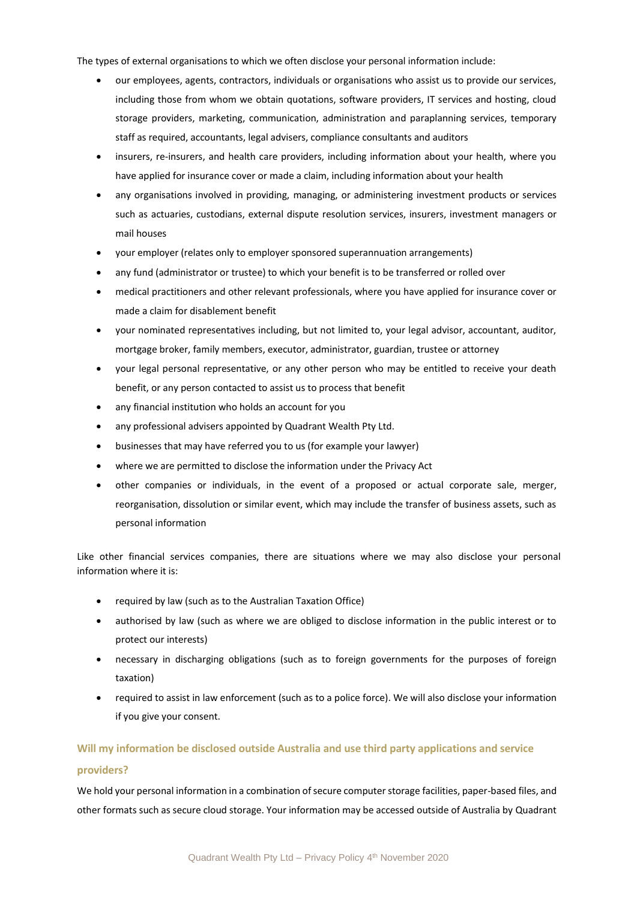The types of external organisations to which we often disclose your personal information include:

- our employees, agents, contractors, individuals or organisations who assist us to provide our services, including those from whom we obtain quotations, software providers, IT services and hosting, cloud storage providers, marketing, communication, administration and paraplanning services, temporary staff as required, accountants, legal advisers, compliance consultants and auditors
- insurers, re-insurers, and health care providers, including information about your health, where you have applied for insurance cover or made a claim, including information about your health
- any organisations involved in providing, managing, or administering investment products or services such as actuaries, custodians, external dispute resolution services, insurers, investment managers or mail houses
- your employer (relates only to employer sponsored superannuation arrangements)
- any fund (administrator or trustee) to which your benefit is to be transferred or rolled over
- medical practitioners and other relevant professionals, where you have applied for insurance cover or made a claim for disablement benefit
- your nominated representatives including, but not limited to, your legal advisor, accountant, auditor, mortgage broker, family members, executor, administrator, guardian, trustee or attorney
- your legal personal representative, or any other person who may be entitled to receive your death benefit, or any person contacted to assist us to process that benefit
- any financial institution who holds an account for you
- any professional advisers appointed by Quadrant Wealth Pty Ltd.
- businesses that may have referred you to us (for example your lawyer)
- where we are permitted to disclose the information under the Privacy Act
- other companies or individuals, in the event of a proposed or actual corporate sale, merger, reorganisation, dissolution or similar event, which may include the transfer of business assets, such as personal information

Like other financial services companies, there are situations where we may also disclose your personal information where it is:

- required by law (such as to the Australian Taxation Office)
- authorised by law (such as where we are obliged to disclose information in the public interest or to protect our interests)
- necessary in discharging obligations (such as to foreign governments for the purposes of foreign taxation)
- required to assist in law enforcement (such as to a police force). We will also disclose your information if you give your consent.

#### **Will my information be disclosed outside Australia and use third party applications and service**

#### **providers?**

We hold your personal information in a combination of secure computer storage facilities, paper-based files, and other formats such as secure cloud storage. Your information may be accessed outside of Australia by Quadrant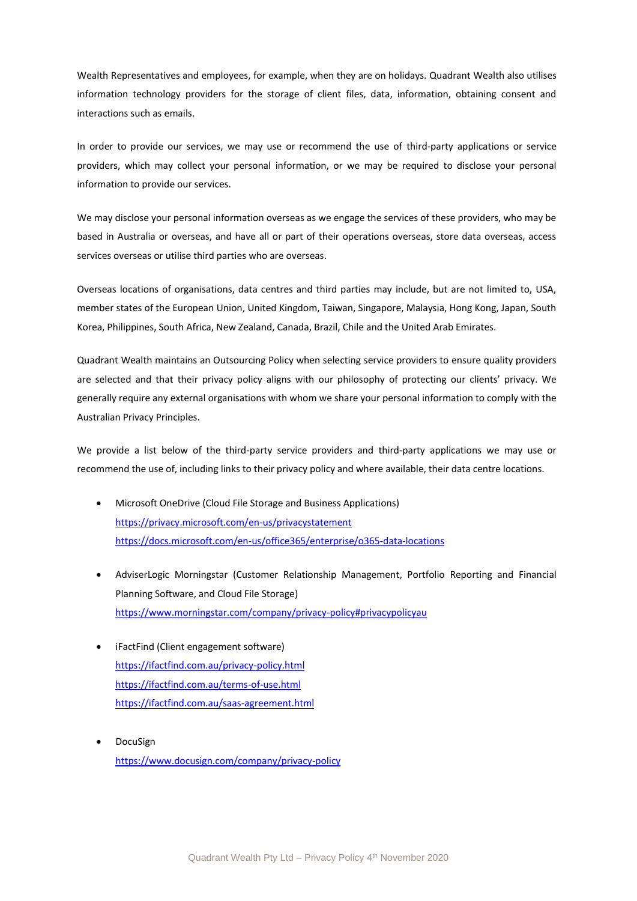Wealth Representatives and employees, for example, when they are on holidays. Quadrant Wealth also utilises information technology providers for the storage of client files, data, information, obtaining consent and interactions such as emails.

In order to provide our services, we may use or recommend the use of third-party applications or service providers, which may collect your personal information, or we may be required to disclose your personal information to provide our services.

We may disclose your personal information overseas as we engage the services of these providers, who may be based in Australia or overseas, and have all or part of their operations overseas, store data overseas, access services overseas or utilise third parties who are overseas.

Overseas locations of organisations, data centres and third parties may include, but are not limited to, USA, member states of the European Union, United Kingdom, Taiwan, Singapore, Malaysia, Hong Kong, Japan, South Korea, Philippines, South Africa, New Zealand, Canada, Brazil, Chile and the United Arab Emirates.

Quadrant Wealth maintains an Outsourcing Policy when selecting service providers to ensure quality providers are selected and that their privacy policy aligns with our philosophy of protecting our clients' privacy. We generally require any external organisations with whom we share your personal information to comply with the Australian Privacy Principles.

We provide a list below of the third-party service providers and third-party applications we may use or recommend the use of, including links to their privacy policy and where available, their data centre locations.

- Microsoft OneDrive (Cloud File Storage and Business Applications) <https://privacy.microsoft.com/en-us/privacystatement> <https://docs.microsoft.com/en-us/office365/enterprise/o365-data-locations>
- AdviserLogic Morningstar (Customer Relationship Management, Portfolio Reporting and Financial Planning Software, and Cloud File Storage) <https://www.morningstar.com/company/privacy-policy#privacypolicyau>
- iFactFind (Client engagement software) <https://ifactfind.com.au/privacy-policy.html> <https://ifactfind.com.au/terms-of-use.html> <https://ifactfind.com.au/saas-agreement.html>
- DocuSign <https://www.docusign.com/company/privacy-policy>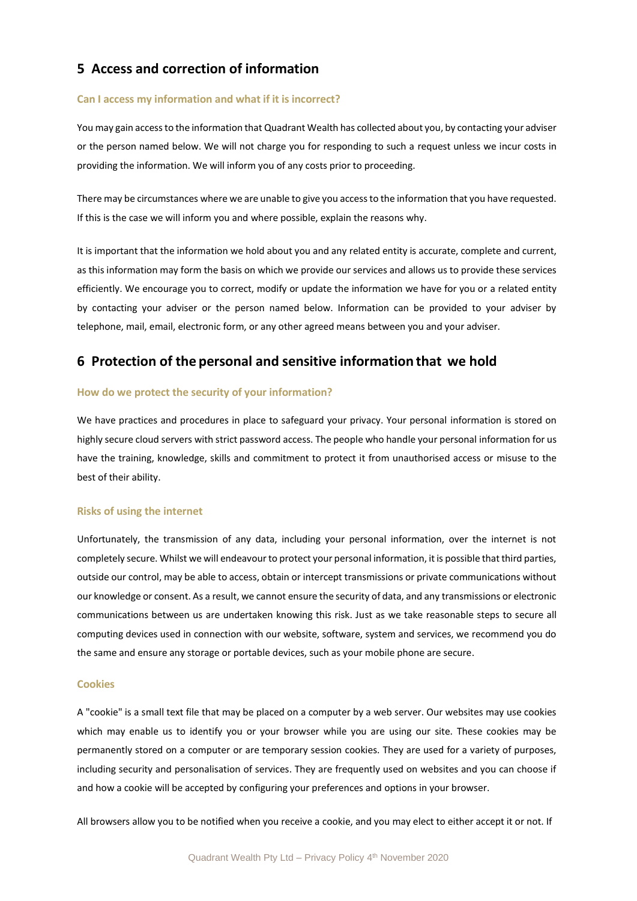### **5 Access and correction of information**

#### **Can I access my information and what if it is incorrect?**

You may gain access to the information that Quadrant Wealth has collected about you, by contacting your adviser or the person named below. We will not charge you for responding to such a request unless we incur costs in providing the information. We will inform you of any costs prior to proceeding.

There may be circumstances where we are unable to give you access to the information that you have requested. If this is the case we will inform you and where possible, explain the reasons why.

It is important that the information we hold about you and any related entity is accurate, complete and current, as this information may form the basis on which we provide our services and allows us to provide these services efficiently. We encourage you to correct, modify or update the information we have for you or a related entity by contacting your adviser or the person named below. Information can be provided to your adviser by telephone, mail, email, electronic form, or any other agreed means between you and your adviser.

### **6 Protection of the personal and sensitive information that we hold**

#### **How do we protect the security of your information?**

We have practices and procedures in place to safeguard your privacy. Your personal information is stored on highly secure cloud servers with strict password access. The people who handle your personal information for us have the training, knowledge, skills and commitment to protect it from unauthorised access or misuse to the best of their ability.

#### **Risks of using the internet**

Unfortunately, the transmission of any data, including your personal information, over the internet is not completely secure. Whilst we will endeavour to protect your personal information, it is possible that third parties, outside our control, may be able to access, obtain or intercept transmissions or private communications without our knowledge or consent. As a result, we cannot ensure the security of data, and any transmissions or electronic communications between us are undertaken knowing this risk. Just as we take reasonable steps to secure all computing devices used in connection with our website, software, system and services, we recommend you do the same and ensure any storage or portable devices, such as your mobile phone are secure.

#### **Cookies**

A "cookie" is a small text file that may be placed on a computer by a web server. Our websites may use cookies which may enable us to identify you or your browser while you are using our site. These cookies may be permanently stored on a computer or are temporary session cookies. They are used for a variety of purposes, including security and personalisation of services. They are frequently used on websites and you can choose if and how a cookie will be accepted by configuring your preferences and options in your browser.

All browsers allow you to be notified when you receive a cookie, and you may elect to either accept it or not. If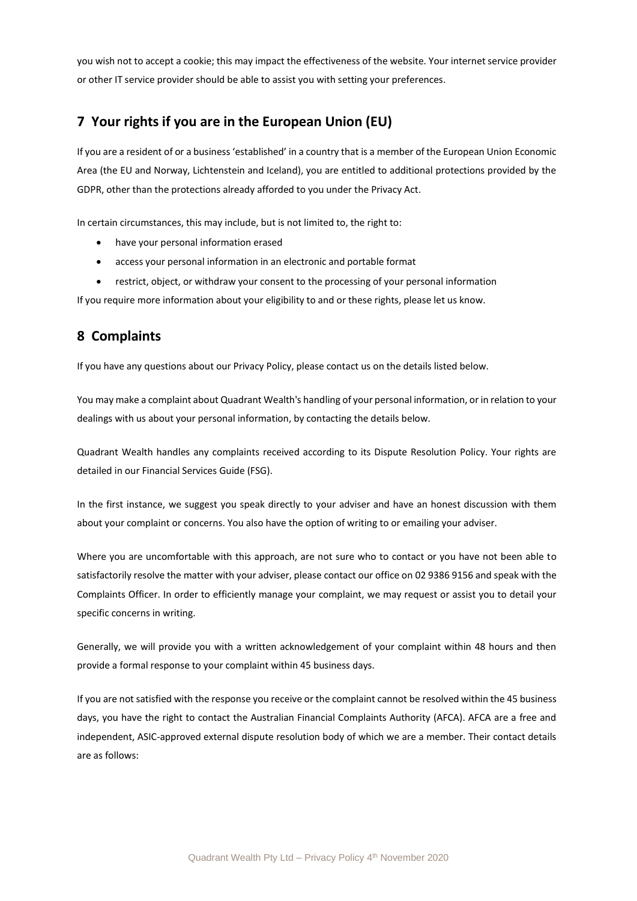you wish not to accept a cookie; this may impact the effectiveness of the website. Your internet service provider or other IT service provider should be able to assist you with setting your preferences.

# **7 Your rights if you are in the European Union (EU)**

If you are a resident of or a business 'established' in a country that is a member of the European Union Economic Area (the EU and Norway, Lichtenstein and Iceland), you are entitled to additional protections provided by the GDPR, other than the protections already afforded to you under the Privacy Act.

In certain circumstances, this may include, but is not limited to, the right to:

- have your personal information erased
- access your personal information in an electronic and portable format
- restrict, object, or withdraw your consent to the processing of your personal information

If you require more information about your eligibility to and or these rights, please let us know.

# **8 Complaints**

If you have any questions about our Privacy Policy, please contact us on the details listed below.

You may make a complaint about Quadrant Wealth's handling of your personal information, or in relation to your dealings with us about your personal information, by contacting the details below.

Quadrant Wealth handles any complaints received according to its Dispute Resolution Policy. Your rights are detailed in our Financial Services Guide (FSG).

In the first instance, we suggest you speak directly to your adviser and have an honest discussion with them about your complaint or concerns. You also have the option of writing to or emailing your adviser.

Where you are uncomfortable with this approach, are not sure who to contact or you have not been able to satisfactorily resolve the matter with your adviser, please contact our office on 02 9386 9156 and speak with the Complaints Officer. In order to efficiently manage your complaint, we may request or assist you to detail your specific concerns in writing.

Generally, we will provide you with a written acknowledgement of your complaint within 48 hours and then provide a formal response to your complaint within 45 business days.

If you are not satisfied with the response you receive or the complaint cannot be resolved within the 45 business days, you have the right to contact the Australian Financial Complaints Authority (AFCA). AFCA are a free and independent, ASIC-approved external dispute resolution body of which we are a member. Their contact details are as follows: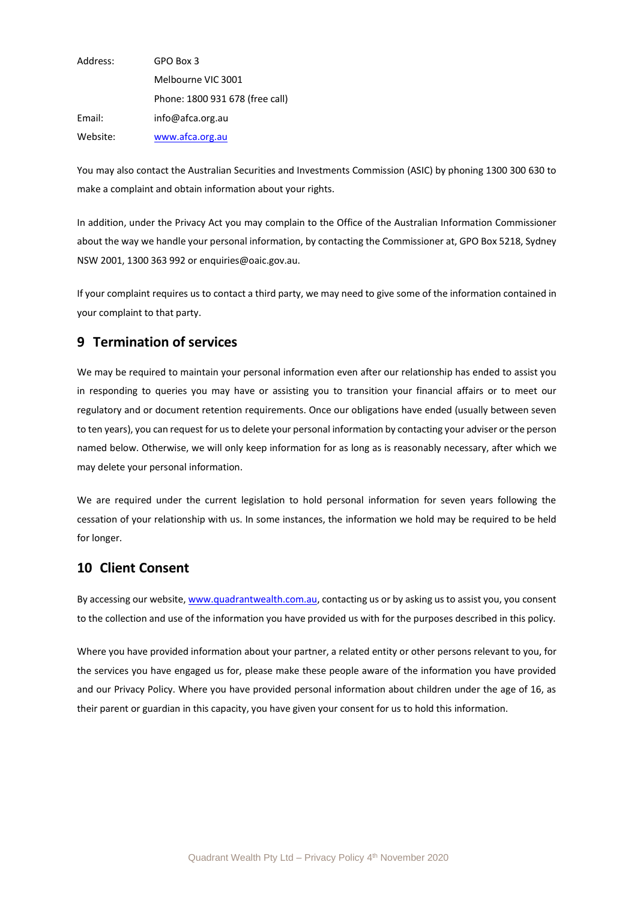| Address: | GPO Box 3                       |
|----------|---------------------------------|
|          | Melbourne VIC 3001              |
|          | Phone: 1800 931 678 (free call) |
| Email:   | info@afca.org.au                |
| Website: | www.afca.org.au                 |

You may also contact the Australian Securities and Investments Commission (ASIC) by phoning 1300 300 630 to make a complaint and obtain information about your rights.

In addition, under the Privacy Act you may complain to the Office of the Australian Information Commissioner about the way we handle your personal information, by contacting the Commissioner at, GPO Box 5218, Sydney NSW 2001, 1300 363 992 or enquiries@oaic.gov.au.

If your complaint requires us to contact a third party, we may need to give some of the information contained in your complaint to that party.

### **9 Termination of services**

We may be required to maintain your personal information even after our relationship has ended to assist you in responding to queries you may have or assisting you to transition your financial affairs or to meet our regulatory and or document retention requirements. Once our obligations have ended (usually between seven to ten years), you can request for us to delete your personal information by contacting your adviser or the person named below. Otherwise, we will only keep information for as long as is reasonably necessary, after which we may delete your personal information.

We are required under the current legislation to hold personal information for seven years following the cessation of your relationship with us. In some instances, the information we hold may be required to be held for longer.

### **10 Client Consent**

By accessing our website, [www.quadrantwealth.com.au,](http://www.quadrantwealth.com.au/) contacting us or by asking us to assist you, you consent to the collection and use of the information you have provided us with for the purposes described in this policy.

Where you have provided information about your partner, a related entity or other persons relevant to you, for the services you have engaged us for, please make these people aware of the information you have provided and our Privacy Policy. Where you have provided personal information about children under the age of 16, as their parent or guardian in this capacity, you have given your consent for us to hold this information.